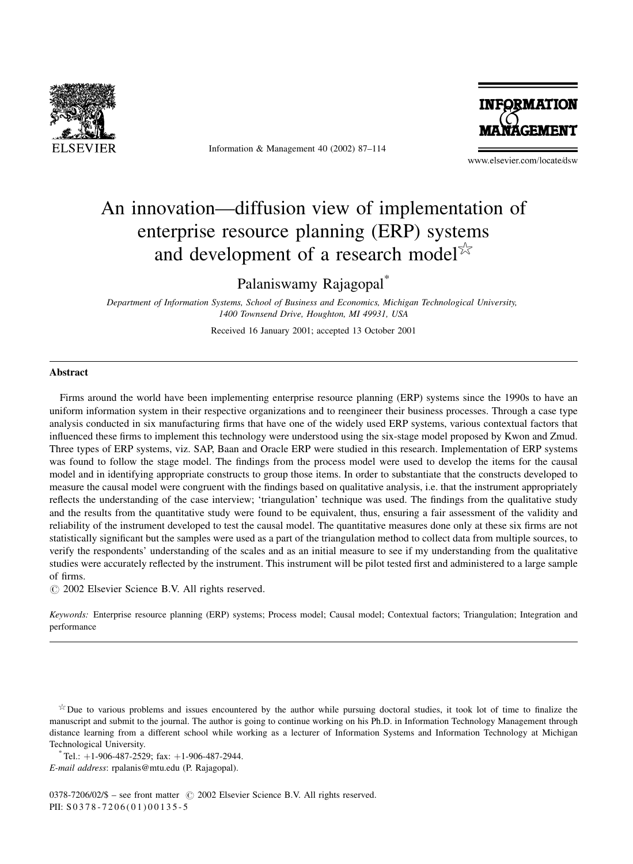

Information & Management 40 (2002) 87–114



www.elsevier.com/locate/dsw

## An innovation—diffusion view of implementation of enterprise resource planning (ERP) systems and development of a research model  $\mathbb{R}^2$

Palaniswamy Rajagopal\*

Department of Information Systems, School of Business and Economics, Michigan Technological University, 1400 Townsend Drive, Houghton, MI 49931, USA

Received 16 January 2001; accepted 13 October 2001

## Abstract

Firms around the world have been implementing enterprise resource planning (ERP) systems since the 1990s to have an uniform information system in their respective organizations and to reengineer their business processes. Through a case type analysis conducted in six manufacturing firms that have one of the widely used ERP systems, various contextual factors that influenced these firms to implement this technology were understood using the six-stage model proposed by Kwon and Zmud. Three types of ERP systems, viz. SAP, Baan and Oracle ERP were studied in this research. Implementation of ERP systems was found to follow the stage model. The findings from the process model were used to develop the items for the causal model and in identifying appropriate constructs to group those items. In order to substantiate that the constructs developed to measure the causal model were congruent with the findings based on qualitative analysis, i.e. that the instrument appropriately reflects the understanding of the case interview; 'triangulation' technique was used. The findings from the qualitative study and the results from the quantitative study were found to be equivalent, thus, ensuring a fair assessment of the validity and reliability of the instrument developed to test the causal model. The quantitative measures done only at these six firms are not statistically significant but the samples were used as a part of the triangulation method to collect data from multiple sources, to verify the respondents' understanding of the scales and as an initial measure to see if my understanding from the qualitative studies were accurately reflected by the instrument. This instrument will be pilot tested first and administered to a large sample of firms.

 $\odot$  2002 Elsevier Science B.V. All rights reserved.

Keywords: Enterprise resource planning (ERP) systems; Process model; Causal model; Contextual factors; Triangulation; Integration and performance

 $\approx$  Due to various problems and issues encountered by the author while pursuing doctoral studies, it took lot of time to finalize the manuscript and submit to the journal. The author is going to continue working on his Ph.D. in Information Technology Management through distance learning from a different school while working as a lecturer of Information Systems and Information Technology at Michigan Technological University.<br>
\* Tel.: +1-906-487-2529; fax: +1-906-487-2944.

E-mail address: rpalanis@mtu.edu (P. Rajagopal).

 $0378-7206/02/\$$  – see front matter  $\circ$  2002 Elsevier Science B.V. All rights reserved. PII: S 0378-7206(01)00135-5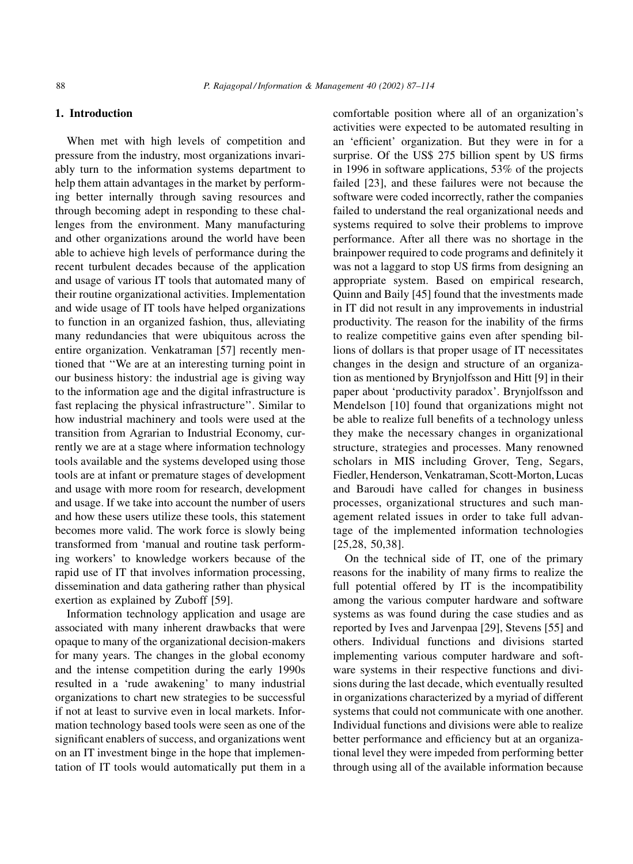## 1. Introduction

When met with high levels of competition and pressure from the industry, most organizations invariably turn to the information systems department to help them attain advantages in the market by performing better internally through saving resources and through becoming adept in responding to these challenges from the environment. Many manufacturing and other organizations around the world have been able to achieve high levels of performance during the recent turbulent decades because of the application and usage of various IT tools that automated many of their routine organizational activities. Implementation and wide usage of IT tools have helped organizations to function in an organized fashion, thus, alleviating many redundancies that were ubiquitous across the entire organization. Venkatraman [57] recently mentioned that ''We are at an interesting turning point in our business history: the industrial age is giving way to the information age and the digital infrastructure is fast replacing the physical infrastructure''. Similar to how industrial machinery and tools were used at the transition from Agrarian to Industrial Economy, currently we are at a stage where information technology tools available and the systems developed using those tools are at infant or premature stages of development and usage with more room for research, development and usage. If we take into account the number of users and how these users utilize these tools, this statement becomes more valid. The work force is slowly being transformed from 'manual and routine task performing workers' to knowledge workers because of the rapid use of IT that involves information processing, dissemination and data gathering rather than physical exertion as explained by Zuboff [59].

Information technology application and usage are associated with many inherent drawbacks that were opaque to many of the organizational decision-makers for many years. The changes in the global economy and the intense competition during the early 1990s resulted in a 'rude awakening' to many industrial organizations to chart new strategies to be successful if not at least to survive even in local markets. Information technology based tools were seen as one of the significant enablers of success, and organizations went on an IT investment binge in the hope that implementation of IT tools would automatically put them in a

comfortable position where all of an organization's activities were expected to be automated resulting in an 'efficient' organization. But they were in for a surprise. Of the US\$ 275 billion spent by US firms in 1996 in software applications, 53% of the projects failed [23], and these failures were not because the software were coded incorrectly, rather the companies failed to understand the real organizational needs and systems required to solve their problems to improve performance. After all there was no shortage in the brainpower required to code programs and definitely it was not a laggard to stop US firms from designing an appropriate system. Based on empirical research, Quinn and Baily [45] found that the investments made in IT did not result in any improvements in industrial productivity. The reason for the inability of the firms to realize competitive gains even after spending billions of dollars is that proper usage of IT necessitates changes in the design and structure of an organization as mentioned by Brynjolfsson and Hitt [9] in their paper about 'productivity paradox'. Brynjolfsson and Mendelson [10] found that organizations might not be able to realize full benefits of a technology unless they make the necessary changes in organizational structure, strategies and processes. Many renowned scholars in MIS including Grover, Teng, Segars, Fiedler, Henderson, Venkatraman, Scott-Morton, Lucas and Baroudi have called for changes in business processes, organizational structures and such management related issues in order to take full advantage of the implemented information technologies [25,28, 50,38].

On the technical side of IT, one of the primary reasons for the inability of many firms to realize the full potential offered by IT is the incompatibility among the various computer hardware and software systems as was found during the case studies and as reported by Ives and Jarvenpaa [29], Stevens [55] and others. Individual functions and divisions started implementing various computer hardware and software systems in their respective functions and divisions during the last decade, which eventually resulted in organizations characterized by a myriad of different systems that could not communicate with one another. Individual functions and divisions were able to realize better performance and efficiency but at an organizational level they were impeded from performing better through using all of the available information because